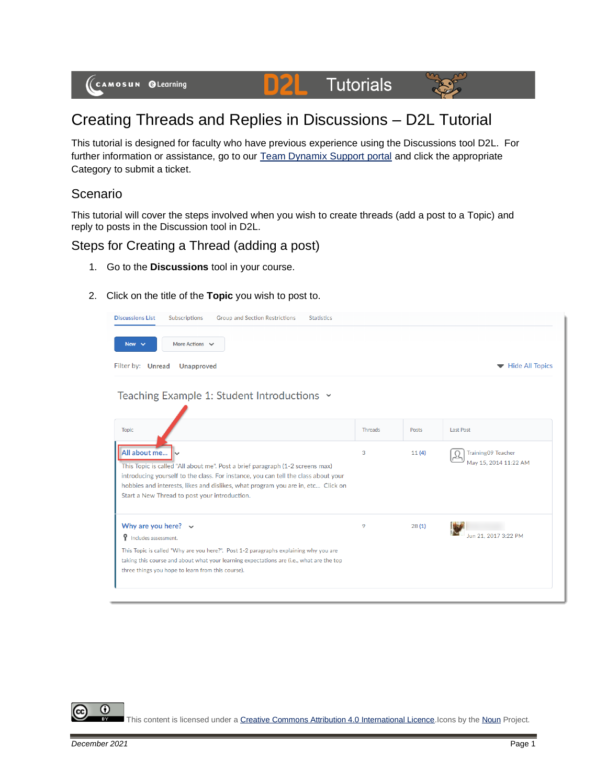

# **D2L** Tutorials



# Creating Threads and Replies in Discussions – D2L Tutorial

This tutorial is designed for faculty who have previous experience using the Discussions tool D2L. For further information or assistance, go to our [Team Dynamix Support portal](https://camosun.teamdynamix.com/TDClient/67/Portal/Requests/ServiceCatalog?CategoryID=523) and click the appropriate Category to submit a ticket.

### Scenario

This tutorial will cover the steps involved when you wish to create threads (add a post to a Topic) and reply to posts in the Discussion tool in D2L.

## Steps for Creating a Thread (adding a post)

- 1. Go to the **Discussions** tool in your course.
- 2. Click on the title of the **Topic** you wish to post to.

| More Actions $\vee$<br>New $\vee$<br>Filter by: Unread<br><b>Unapproved</b>                                                                                                                                                                                                                                              |         |       | Hide All Topics                                    |
|--------------------------------------------------------------------------------------------------------------------------------------------------------------------------------------------------------------------------------------------------------------------------------------------------------------------------|---------|-------|----------------------------------------------------|
| Teaching Example 1: Student Introductions v                                                                                                                                                                                                                                                                              |         |       |                                                    |
| <b>Topic</b>                                                                                                                                                                                                                                                                                                             | Threads | Posts | <b>Last Post</b>                                   |
| All about me<br>This Topic is called "All about me". Post a brief paragraph (1-2 screens max)<br>introducing yourself to the class. For instance, you can tell the class about your<br>hobbies and interests, likes and dislikes, what program you are in, etc Click on<br>Start a New Thread to post your introduction. | 3       | 11(4) | <b>Training09 Teacher</b><br>May 15, 2014 11:22 AM |
| Why are you here? $\vee$<br><b>9</b> Includes assessment.                                                                                                                                                                                                                                                                | 9       | 28(1) | Jun 21, 2017 3:22 PM                               |
| This Topic is called "Why are you here?". Post 1-2 paragraphs explaining why you are<br>taking this course and about what your learning expectations are (i.e., what are the top<br>three things you hope to learn from this course).                                                                                    |         |       |                                                    |

0

This content is licensed under [a Creative Commons Attribution 4.0 International Licence.I](https://creativecommons.org/licenses/by/4.0/)cons by th[e Noun](https://creativecommons.org/website-icons/) Project.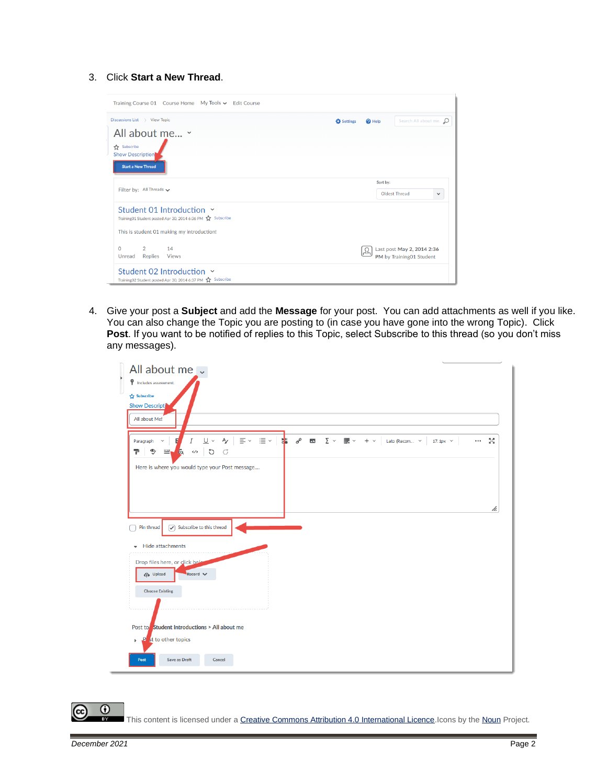#### 3. Click **Start a New Thread**.

| Discussions List > View Topic                                                                                                         | Search All about me. p<br>Settings<br><sup>O</sup> Help |
|---------------------------------------------------------------------------------------------------------------------------------------|---------------------------------------------------------|
| All about me v<br>Subscribe<br><b>Show Description</b><br><b>Start a New Thread</b>                                                   |                                                         |
| Filter by: All Threads $\smile$                                                                                                       | Sort by:<br>Oldest Thread<br>$\checkmark$               |
| Student 01 Introduction Y<br>Training01 Student posted Apr 30, 2014 6:36 PM 2 Subscribe<br>This is student 01 making my introduction! |                                                         |
| $\overline{2}$<br>$\Omega$<br>14<br>Replies<br>Unread<br><b>Views</b>                                                                 | Last post May 2, 2014 2:36<br>PM by Training01 Student  |

4. Give your post a **Subject** and add the **Message** for your post. You can add attachments as well if you like. You can also change the Topic you are posting to (in case you have gone into the wrong Topic). Click Post. If you want to be notified of replies to this Topic, select Subscribe to this thread (so you don't miss any messages).

| All about me v<br>P Includes assessment.<br>Subscribe<br><b>Show Descripti</b><br>All about Me!                                                                                                                                                    |  |
|----------------------------------------------------------------------------------------------------------------------------------------------------------------------------------------------------------------------------------------------------|--|
| $\sigma^o$ Eq<br>$\equiv \, \check{}\, \; \equiv \, \check{}\,$<br>$\Sigma~\sim$<br>盂<br>$\mathbb{H}$ $\vee$ + $\vee$ Lato (Recom $\vee$<br>U v<br>$\mathsf{A}_{\mathscr{L}}$<br>5č<br>I<br>$17.1px \sim$<br>$\cdots$<br>Paragraph<br>$\checkmark$ |  |
| $\ddot{\mathbb{Y}}$<br>Ŧ.<br>$\equiv$<br>$\circ$<br>$E_{\rm Q}$<br>$\langle \rangle$<br>đ                                                                                                                                                          |  |
| Here is where you would type your Post message                                                                                                                                                                                                     |  |
|                                                                                                                                                                                                                                                    |  |
|                                                                                                                                                                                                                                                    |  |
| h.                                                                                                                                                                                                                                                 |  |
| $\sqrt{\phantom{a}}$ Subscribe to this thread<br>Pin thread                                                                                                                                                                                        |  |
| <b>Hide attachments</b>                                                                                                                                                                                                                            |  |
| ٠                                                                                                                                                                                                                                                  |  |
| Drop files here, or click bela<br>$Record \n\vee$<br><b>C</b> Upload                                                                                                                                                                               |  |
|                                                                                                                                                                                                                                                    |  |
| <b>Choose Existing</b>                                                                                                                                                                                                                             |  |
|                                                                                                                                                                                                                                                    |  |
| Post to Student Introductions > All about me                                                                                                                                                                                                       |  |
| st to other topics<br><b>P</b><br>$\mathbb{b}$                                                                                                                                                                                                     |  |
| <b>Save as Draft</b><br>Cancel<br>Post                                                                                                                                                                                                             |  |

This content is licensed under [a Creative Commons Attribution 4.0 International Licence.I](https://creativecommons.org/licenses/by/4.0/)cons by th[e Noun](https://creativecommons.org/website-icons/) Project.

 $\odot$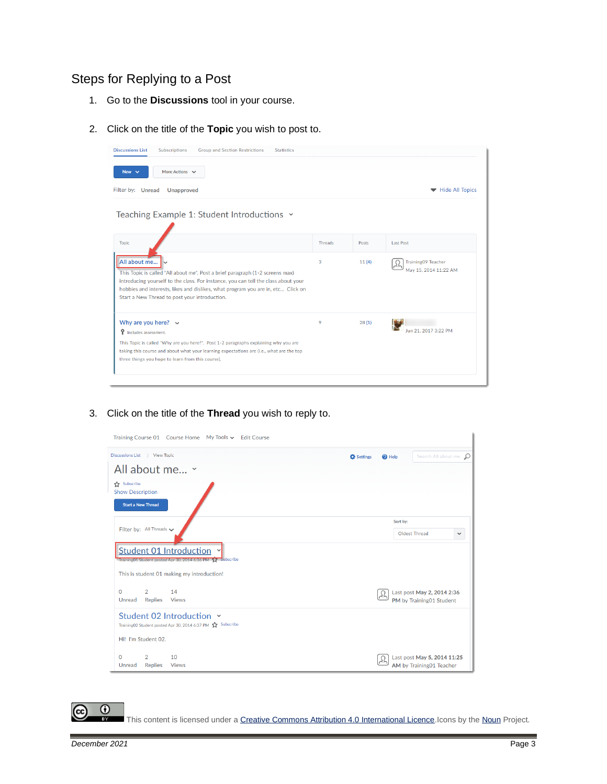# Steps for Replying to a Post

- 1. Go to the **Discussions** tool in your course.
- 2. Click on the title of the **Topic** you wish to post to.

| <b>Discussions List</b><br>Subscriptions<br><b>Group and Section Restrictions</b><br><b>Statistics</b>                                                                                                                                                                                                                   |                |       |                                                    |
|--------------------------------------------------------------------------------------------------------------------------------------------------------------------------------------------------------------------------------------------------------------------------------------------------------------------------|----------------|-------|----------------------------------------------------|
| More Actions $\vee$<br>New $\vee$                                                                                                                                                                                                                                                                                        |                |       |                                                    |
| Filter by: Unread<br><b>Unapproved</b>                                                                                                                                                                                                                                                                                   |                |       | Hide All Topics                                    |
| Teaching Example 1: Student Introductions $\sim$                                                                                                                                                                                                                                                                         |                |       |                                                    |
| <b>Topic</b>                                                                                                                                                                                                                                                                                                             | <b>Threads</b> | Posts | <b>Last Post</b>                                   |
| All about me<br>This Topic is called "All about me". Post a brief paragraph (1-2 screens max)<br>introducing yourself to the class. For instance, you can tell the class about your<br>hobbies and interests, likes and dislikes, what program you are in, etc Click on<br>Start a New Thread to post your introduction. | 3              | 11(4) | <b>Training09 Teacher</b><br>May 15, 2014 11:22 AM |
| Why are you here? $\sim$<br><b>9</b> Includes assessment.                                                                                                                                                                                                                                                                | 9              | 28(1) | Jun 21, 2017 3:22 PM                               |
| This Topic is called "Why are you here?". Post 1-2 paragraphs explaining why you are<br>taking this course and about what your learning expectations are (i.e., what are the top<br>three things you hope to learn from this course).                                                                                    |                |       |                                                    |
|                                                                                                                                                                                                                                                                                                                          |                |       |                                                    |

3. Click on the title of the **Thread** you wish to reply to.

| Training Course 01 Course Home My Tools v Edit Course                                                                 |                                                                  |
|-----------------------------------------------------------------------------------------------------------------------|------------------------------------------------------------------|
| Discussions List > View Topic<br>All about me ~                                                                       | Search All about me. O<br><b>C</b> Settings<br><sup>O</sup> Help |
| Subscribe<br><b>Show Description</b><br><b>Start a New Thread</b>                                                     |                                                                  |
| Filter by: All Threads v                                                                                              | Sort by:<br>Oldest Thread<br>$\checkmark$                        |
| <b>Student 01 Introduction</b><br>Training01 Student posted Apr 30, 2014 6:36 PM 17 Subscribe                         |                                                                  |
| This is student 01 making my introduction!<br>$\Omega$<br>$2^{\circ}$<br>14<br>Unread Replies<br><b>Views</b>         | Last post May 2, 2014 2:36<br>PM by Training01 Student           |
| Student 02 Introduction Y<br>Training02 Student posted Apr 30, 2014 6:37 PM <a> Subscribe<br/>Hi! I'm Student 02.</a> |                                                                  |
| $\mathbf 0$<br>2<br>10<br><b>Replies</b><br>Unread<br><b>Views</b>                                                    | Last post May 5, 2014 11:25<br>AM by Training01 Teacher          |

This content is licensed under [a Creative Commons Attribution 4.0 International Licence.I](https://creativecommons.org/licenses/by/4.0/)cons by th[e Noun](https://creativecommons.org/website-icons/) Project.

 $\odot$